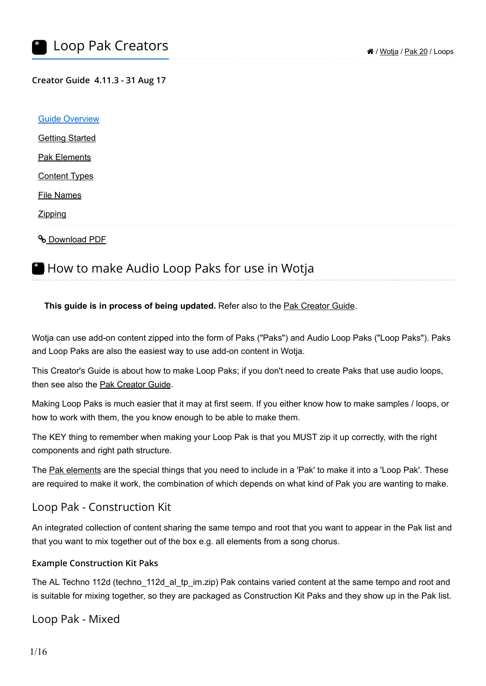#### **Creator Guide 4.11.3 - 31 Aug 17**

| <b>Guide Overview</b>     |  |
|---------------------------|--|
| <b>Getting Started</b>    |  |
| <b>Pak Elements</b>       |  |
| <b>Content Types</b>      |  |
| <b>File Names</b>         |  |
| Zipping                   |  |
| <b>&amp; Download PDF</b> |  |

# <span id="page-0-0"></span>**How to make Audio Loop Paks for use in Wotja**

### **This guide is in process of being updated.** Refer also to the [Pak Creator Guide](https://intermorphic.com/wotja/pak/20).

Wotja can use add-on content zipped into the form of Paks ("Paks") and Audio Loop Paks ("Loop Paks"). Paks and Loop Paks are also the easiest way to use add-on content in Wotja.

This Creator's Guide is about how to make Loop Paks; if you don't need to create Paks that use audio loops, then see also the [Pak Creator Guide](https://intermorphic.com/wotja/pak/20).

Making Loop Paks is much easier that it may at first seem. If you either know how to make samples / loops, or how to work with them, the you know enough to be able to make them.

The KEY thing to remember when making your Loop Pak is that you MUST zip it up correctly, with the right components and right path structure.

The [Pak elements](#page-2-0) are the special things that you need to include in a 'Pak' to make it into a 'Loop Pak'. These are required to make it work, the combination of which depends on what kind of Pak you are wanting to make.

### Loop Pak - Construction Kit

An integrated collection of content sharing the same tempo and root that you want to appear in the Pak list and that you want to mix together out of the box e.g. all elements from a song chorus.

#### **Example Construction Kit Paks**

The AL Techno 112d (techno 112d al tp im.zip) Pak contains varied content at the same tempo and root and is suitable for mixing together, so they are packaged as Construction Kit Paks and they show up in the Pak list.

Loop Pak - Mixed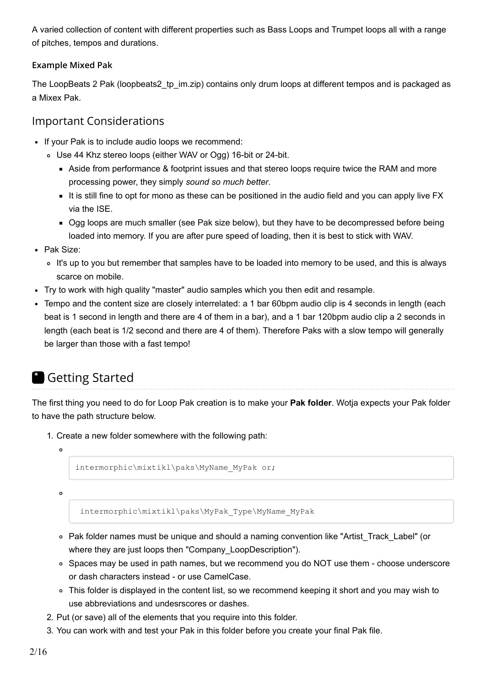A varied collection of content with different properties such as Bass Loops and Trumpet loops all with a range of pitches, tempos and durations.

### **Example Mixed Pak**

The LoopBeats 2 Pak (loopbeats2\_tp\_im.zip) contains only drum loops at different tempos and is packaged as a Mixex Pak.

### Important Considerations

- If your Pak is to include audio loops we recommend:
	- Use 44 Khz stereo loops (either WAV or Ogg) 16-bit or 24-bit.
		- Aside from performance & footprint issues and that stereo loops require twice the RAM and more processing power, they simply *sound so much better*.
		- It is still fine to opt for mono as these can be positioned in the audio field and you can apply live FX via the ISE.
		- Ogg loops are much smaller (see Pak size below), but they have to be decompressed before being loaded into memory. If you are after pure speed of loading, then it is best to stick with WAV.
- Pak Size:
	- It's up to you but remember that samples have to be loaded into memory to be used, and this is always scarce on mobile.
- Try to work with high quality "master" audio samples which you then edit and resample.
- Tempo and the content size are closely interrelated: a 1 bar 60bpm audio clip is 4 seconds in length (each beat is 1 second in length and there are 4 of them in a bar), and a 1 bar 120bpm audio clip a 2 seconds in length (each beat is 1/2 second and there are 4 of them). Therefore Paks with a slow tempo will generally be larger than those with a fast tempo!

# <span id="page-1-0"></span>Getting Started

The first thing you need to do for Loop Pak creation is to make your **Pak folder**. Wotja expects your Pak folder to have the path structure below.

- 1. Create a new folder somewhere with the following path:
	- $\circ$

```
intermorphic\mixtikl\paks\MyName_MyPak or;
```
 $\circ$ 

```
 intermorphic\mixtikl\paks\MyPak_Type\MyName_MyPak
```
- Pak folder names must be unique and should a naming convention like "Artist\_Track\_Label" (or where they are just loops then "Company LoopDescription").
- Spaces may be used in path names, but we recommend you do NOT use them choose underscore or dash characters instead - or use CamelCase.
- This folder is displayed in the content list, so we recommend keeping it short and you may wish to use abbreviations and undesrscores or dashes.
- 2. Put (or save) all of the elements that you require into this folder.
- 3. You can work with and test your Pak in this folder before you create your final Pak file.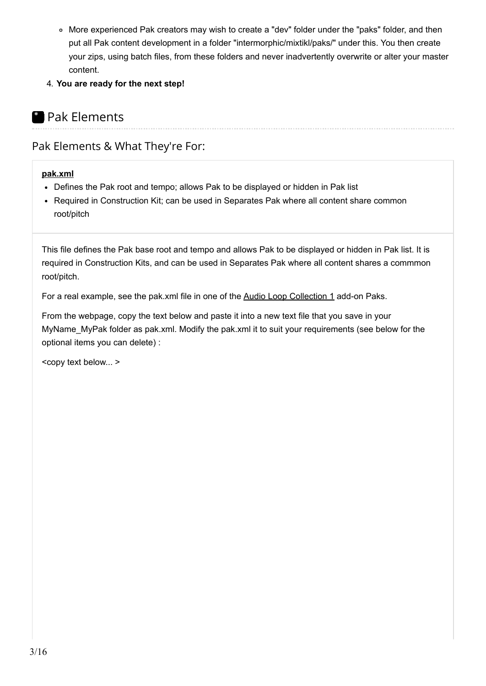- More experienced Pak creators may wish to create a "dev" folder under the "paks" folder, and then put all Pak content development in a folder "intermorphic/mixtikl/paks/" under this. You then create your zips, using batch files, from these folders and never inadvertently overwrite or alter your master content.
- 4. **You are ready for the next step!**

# <span id="page-2-0"></span>**Pak Elements**

# Pak Elements & What They're For:

### <span id="page-2-2"></span>**[pak.xml](#page-2-1)**

- Defines the Pak root and tempo; allows Pak to be displayed or hidden in Pak list
- Required in Construction Kit; can be used in Separates Pak where all content share common root/pitch

<span id="page-2-1"></span>This file defines the Pak base root and tempo and allows Pak to be displayed or hidden in Pak list. It is required in Construction Kits, and can be used in Separates Pak where all content shares a commmon root/pitch.

For a real example, see the pak.xml file in one of the [Audio Loop Collection 1](https://intermorphic.com/content/#paks) add-on Paks.

From the webpage, copy the text below and paste it into a new text file that you save in your MyName MyPak folder as pak.xml. Modify the pak.xml it to suit your requirements (see below for the optional items you can delete) :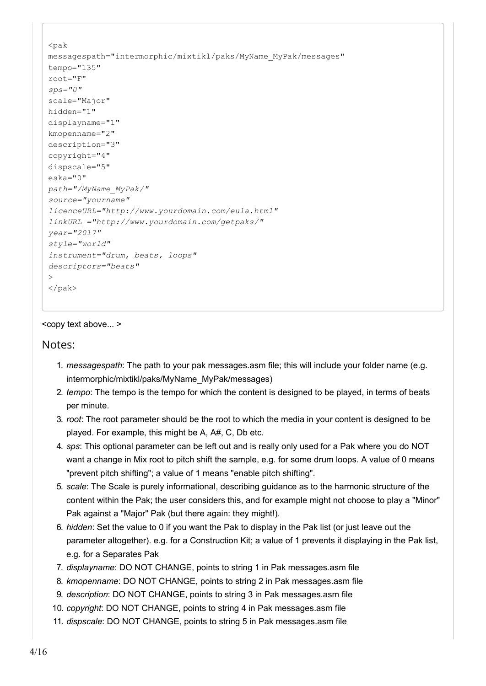```
<pak
messagespath="intermorphic/mixtikl/paks/MyName_MyPak/messages" 
tempo="135" 
root="F" 
sps="0"
scale="Major" 
hidden="1"
displayname="1" 
kmopenname="2" 
description="3" 
copyright="4" 
dispscale="5" 
eska="0"
path="/MyName_MyPak/" 
source="yourname" 
licenceURL="http://www.yourdomain.com/eula.html" 
linkURL ="http://www.yourdomain.com/getpaks/" 
year="2017" 
style="world" 
instrument="drum, beats, loops"
descriptors="beats" 
> 
\langle/pak>
```
Notes:

- 1. *messagespath*: The path to your pak messages.asm file; this will include your folder name (e.g. intermorphic/mixtikl/paks/MyName\_MyPak/messages)
- 2. *tempo*: The tempo is the tempo for which the content is designed to be played, in terms of beats per minute.
- 3. *root*: The root parameter should be the root to which the media in your content is designed to be played. For example, this might be A, A#, C, Db etc.
- 4. *sps*: This optional parameter can be left out and is really only used for a Pak where you do NOT want a change in Mix root to pitch shift the sample, e.g. for some drum loops. A value of 0 means "prevent pitch shifting"; a value of 1 means "enable pitch shifting".
- 5. *scale*: The Scale is purely informational, describing guidance as to the harmonic structure of the content within the Pak; the user considers this, and for example might not choose to play a "Minor" Pak against a "Major" Pak (but there again: they might!).
- 6. *hidden*: Set the value to 0 if you want the Pak to display in the Pak list (or just leave out the parameter altogether). e.g. for a Construction Kit; a value of 1 prevents it displaying in the Pak list, e.g. for a Separates Pak
- 7. *displayname*: DO NOT CHANGE, points to string 1 in Pak messages.asm file
- 8. *kmopenname*: DO NOT CHANGE, points to string 2 in Pak messages.asm file
- 9. *description*: DO NOT CHANGE, points to string 3 in Pak messages.asm file
- 10. *copyright*: DO NOT CHANGE, points to string 4 in Pak messages.asm file
- 11. *dispscale*: DO NOT CHANGE, points to string 5 in Pak messages.asm file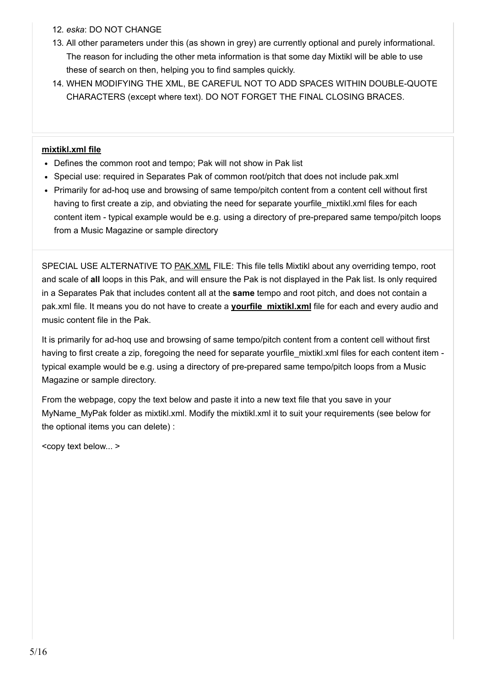- 12. *eska*: DO NOT CHANGE
- 13. All other parameters under this (as shown in grey) are currently optional and purely informational. The reason for including the other meta information is that some day Mixtikl will be able to use these of search on then, helping you to find samples quickly.
- 14. WHEN MODIFYING THE XML, BE CAREFUL NOT TO ADD SPACES WITHIN DOUBLE-QUOTE CHARACTERS (except where text). DO NOT FORGET THE FINAL CLOSING BRACES.

#### **[mixtikl.xml file](#page-4-0)**

- Defines the common root and tempo; Pak will not show in Pak list
- Special use: required in Separates Pak of common root/pitch that does not include pak.xml
- Primarily for ad-hoq use and browsing of same tempo/pitch content from a content cell without first having to first create a zip, and obviating the need for separate yourfile mixtikl.xml files for each content item - typical example would be e.g. using a directory of pre-prepared same tempo/pitch loops from a Music Magazine or sample directory

<span id="page-4-0"></span>SPECIAL USE ALTERNATIVE TO PAK. XML FILE: This file tells Mixtikl about any overriding tempo, root and scale of **all** loops in this Pak, and will ensure the Pak is not displayed in the Pak list. Is only required in a Separates Pak that includes content all at the **same** tempo and root pitch, and does not contain a pak.xml file. It means you do not have to create a **yourfile mixtikl.xml** file for each and every audio and music content file in the Pak.

It is primarily for ad-hoq use and browsing of same tempo/pitch content from a content cell without first having to first create a zip, foregoing the need for separate yourfile mixtikl.xml files for each content item typical example would be e.g. using a directory of pre-prepared same tempo/pitch loops from a Music Magazine or sample directory.

From the webpage, copy the text below and paste it into a new text file that you save in your MyName MyPak folder as mixtikl.xml. Modify the mixtikl.xml it to suit your requirements (see below for the optional items you can delete) :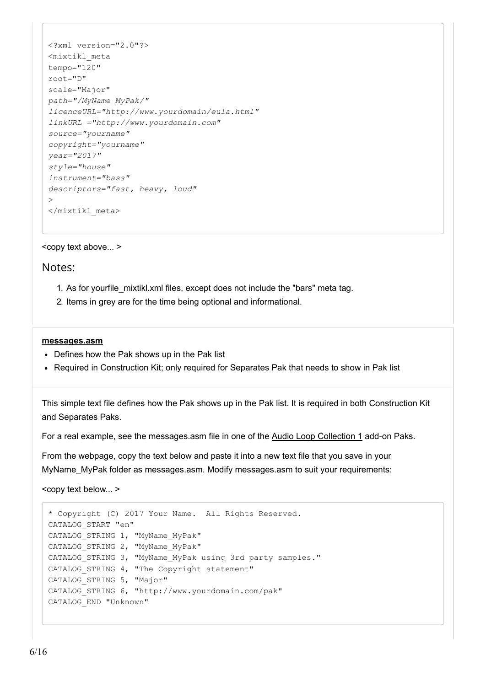```
<?xml version="2.0"?>
<mixtikl_meta
tempo="120"
root="D"
scale="Major"
path="/MyName_MyPak/" 
licenceURL="http://www.yourdomain/eula.html" 
linkURL ="http://www.yourdomain.com" 
source="yourname" 
copyright="yourname" 
year="2017" 
style="house" 
instrument="bass" 
descriptors="fast, heavy, loud" 
\rightarrow</mixtikl_meta>
```
### Notes:

- 1. As for yourfile mixtikl.xml files, except does not include the "bars" meta tag.
- 2. Items in grey are for the time being optional and informational.

#### **[messages.asm](#page-5-0)**

- Defines how the Pak shows up in the Pak list
- Required in Construction Kit; only required for Separates Pak that needs to show in Pak list

<span id="page-5-0"></span>This simple text file defines how the Pak shows up in the Pak list. It is required in both Construction Kit and Separates Paks.

For a real example, see the messages.asm file in one of the [Audio Loop Collection 1](https://intermorphic.com/content/#paks) add-on Paks.

From the webpage, copy the text below and paste it into a new text file that you save in your MyName\_MyPak folder as messages.asm. Modify messages.asm to suit your requirements:

```
* Copyright (C) 2017 Your Name. All Rights Reserved.
CATALOG_START "en"
CATALOG_STRING 1, "MyName_MyPak"
CATALOG_STRING 2, "MyName_MyPak"
CATALOG_STRING 3, "MyName_MyPak using 3rd party samples."
CATALOG STRING 4, "The Copyright statement"
CATALOG STRING 5, "Major"
CATALOG_STRING 6, "http://www.yourdomain.com/pak"
CATALOG_END "Unknown"
```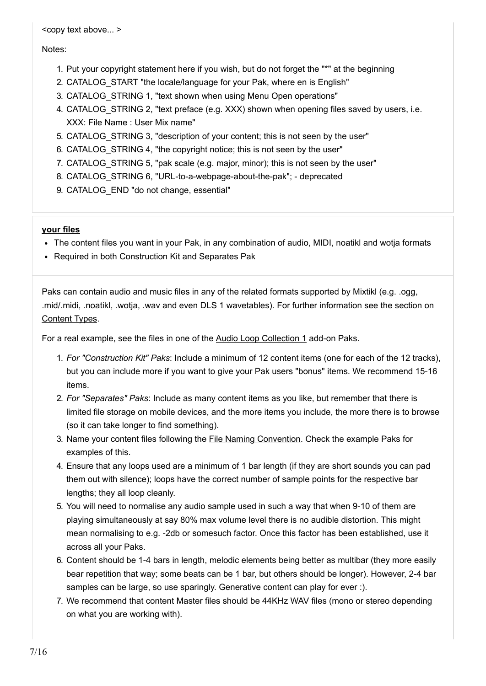#### Notes:

- 1. Put your copyright statement here if you wish, but do not forget the "\*" at the beginning
- 2. CATALOG\_START "the locale/language for your Pak, where en is English"
- 3. CATALOG\_STRING 1, "text shown when using Menu Open operations"
- 4. CATALOG STRING 2, "text preface (e.g. XXX) shown when opening files saved by users, i.e. XXX: File Name : User Mix name"
- 5. CATALOG STRING 3, "description of your content; this is not seen by the user"
- 6. CATALOG\_STRING 4, "the copyright notice; this is not seen by the user"
- 7. CATALOG STRING 5, "pak scale (e.g. major, minor); this is not seen by the user"
- 8. CATALOG STRING 6, "URL-to-a-webpage-about-the-pak"; deprecated
- 9. CATALOG END "do not change, essential"

### **[your files](#page-6-0)**

- The content files you want in your Pak, in any combination of audio, MIDI, noatikl and wotja formats
- Required in both Construction Kit and Separates Pak

<span id="page-6-0"></span>Paks can contain audio and music files in any of the related formats supported by Mixtikl (e.g. .ogg, .mid/.midi, .noatikl, .wotja, .wav and even DLS 1 wavetables). For further information see the section on [Content Types](#page-10-0).

For a real example, see the files in one of the [Audio Loop Collection 1](https://intermorphic.com/content/#paks) add-on Paks.

- 1. *For "Construction Kit" Paks*: Include a minimum of 12 content items (one for each of the 12 tracks), but you can include more if you want to give your Pak users "bonus" items. We recommend 15-16 items.
- 2. *For "Separates" Paks*: Include as many content items as you like, but remember that there is limited file storage on mobile devices, and the more items you include, the more there is to browse (so it can take longer to find something).
- 3. Name your content files following the [File Naming Convention.](#page-12-0) Check the example Paks for examples of this.
- 4. Ensure that any loops used are a minimum of 1 bar length (if they are short sounds you can pad them out with silence); loops have the correct number of sample points for the respective bar lengths; they all loop cleanly.
- 5. You will need to normalise any audio sample used in such a way that when 9-10 of them are playing simultaneously at say 80% max volume level there is no audible distortion. This might mean normalising to e.g. -2db or somesuch factor. Once this factor has been established, use it across all your Paks.
- 6. Content should be 1-4 bars in length, melodic elements being better as multibar (they more easily bear repetition that way; some beats can be 1 bar, but others should be longer). However, 2-4 bar samples can be large, so use sparingly. Generative content can play for ever :).
- 7. We recommend that content Master files should be 44KHz WAV files (mono or stereo depending on what you are working with).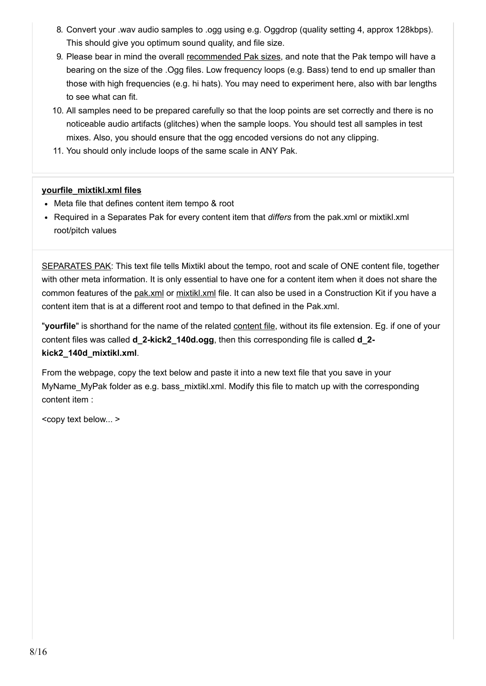- 8. Convert your .wav audio samples to .ogg using e.g. Oggdrop (quality setting 4, approx 128kbps). This should give you optimum sound quality, and file size.
- 9. Please bear in mind the overall [recommended Pak sizes](#page-1-0), and note that the Pak tempo will have a bearing on the size of the .Ogg files. Low frequency loops (e.g. Bass) tend to end up smaller than those with high frequencies (e.g. hi hats). You may need to experiment here, also with bar lengths to see what can fit.
- 10. All samples need to be prepared carefully so that the loop points are set correctly and there is no noticeable audio artifacts (glitches) when the sample loops. You should test all samples in test mixes. Also, you should ensure that the ogg encoded versions do not any clipping.
- 11. You should only include loops of the same scale in ANY Pak.

### **[yourfile\\_mixtikl.xml files](#page-7-0)**

- Meta file that defines content item tempo & root
- Required in a Separates Pak for every content item that *differs* from the pak.xml or mixtikl.xml root/pitch values

<span id="page-7-0"></span>SEPARATES PAK: This text file tells Mixtikl about the tempo, root and scale of ONE content file, together with other meta information. It is only essential to have one for a content item when it does not share the common features of the [pak.xml](#page-2-2) or [mixtikl.xml](#page-4-0) file. It can also be used in a Construction Kit if you have a content item that is at a different root and tempo to that defined in the Pak.xml.

"**yourfile**" is shorthand for the name of the related [content file](#page-6-0), without its file extension. Eg. if one of your content files was called **d\_2-kick2\_140d.ogg**, then this corresponding file is called **d\_2 kick2\_140d\_mixtikl.xml**.

From the webpage, copy the text below and paste it into a new text file that you save in your MyName MyPak folder as e.g. bass mixtikl.xml. Modify this file to match up with the corresponding content item :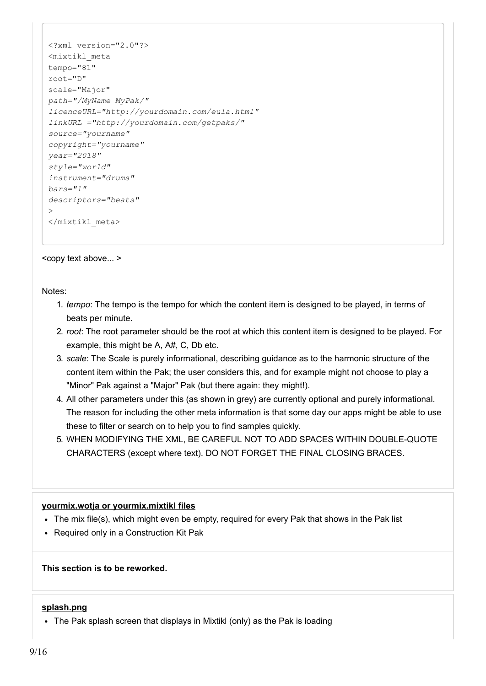```
<?xml version="2.0"?>
<mixtikl_meta
tempo="81"
root="D"
scale="Major"
path="/MyName_MyPak/" 
licenceURL="http://yourdomain.com/eula.html" 
linkURL ="http://yourdomain.com/getpaks/"
source="yourname" 
copyright="yourname" 
year="2018" 
style="world" 
instrument="drums" 
bars="1" 
descriptors="beats" 
\rightarrow</mixtikl_meta>
```
Notes:

- 1. *tempo*: The tempo is the tempo for which the content item is designed to be played, in terms of beats per minute.
- 2. *root*: The root parameter should be the root at which this content item is designed to be played. For example, this might be A, A#, C, Db etc.
- 3. *scale*: The Scale is purely informational, describing guidance as to the harmonic structure of the content item within the Pak; the user considers this, and for example might not choose to play a "Minor" Pak against a "Major" Pak (but there again: they might!).
- 4. All other parameters under this (as shown in grey) are currently optional and purely informational. The reason for including the other meta information is that some day our apps might be able to use these to filter or search on to help you to find samples quickly.
- 5. WHEN MODIFYING THE XML, BE CAREFUL NOT TO ADD SPACES WITHIN DOUBLE-QUOTE CHARACTERS (except where text). DO NOT FORGET THE FINAL CLOSING BRACES.

#### **[yourmix.wotja or yourmix.mixtikl files](#page-8-0)**

- The mix file(s), which might even be empty, required for every Pak that shows in the Pak list
- Required only in a Construction Kit Pak

<span id="page-8-0"></span>**This section is to be reworked.**

#### **[splash.png](#page-9-0)**

• The Pak splash screen that displays in Mixtikl (only) as the Pak is loading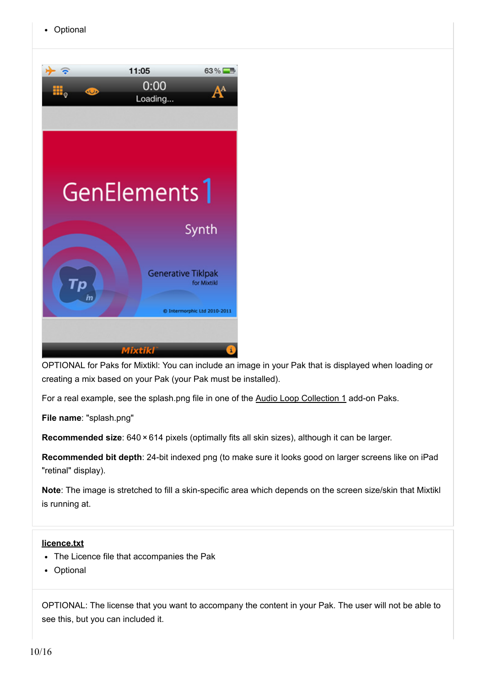<span id="page-9-0"></span>

OPTIONAL for Paks for Mixtikl: You can include an image in your Pak that is displayed when loading or creating a mix based on your Pak (your Pak must be installed).

For a real example, see the splash.png file in one of the [Audio Loop Collection 1](https://intermorphic.com/content/#paks) add-on Paks.

**File name**: "splash.png"

**Recommended size**: 640 × 614 pixels (optimally fits all skin sizes), although it can be larger.

**Recommended bit depth**: 24-bit indexed png (to make sure it looks good on larger screens like on iPad "retinal" display).

**Note**: The image is stretched to fill a skin-specific area which depends on the screen size/skin that Mixtikl is running at.

### **[licence.txt](#page-9-1)**

- The Licence file that accompanies the Pak
- Optional

<span id="page-9-1"></span>OPTIONAL: The license that you want to accompany the content in your Pak. The user will not be able to see this, but you can included it.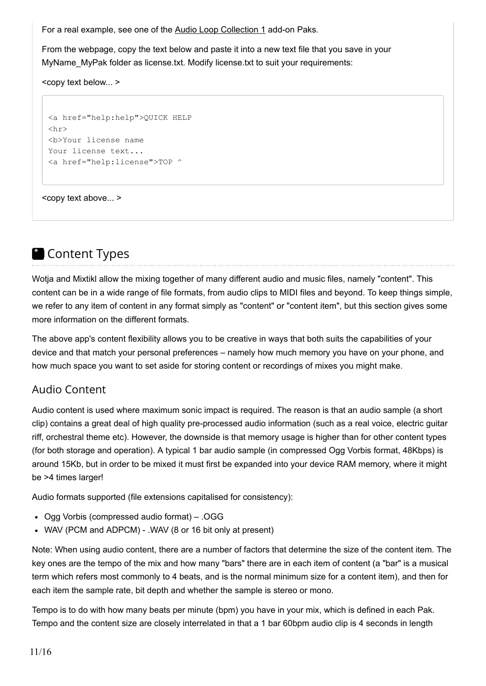For a real example, see one of the [Audio Loop Collection 1](https://intermorphic.com/content/#paks) add-on Paks.

From the webpage, copy the text below and paste it into a new text file that you save in your MyName\_MyPak folder as license.txt. Modify license.txt to suit your requirements:

<copy text below... >

```
<a href="help:help">QUICK HELP
\langle h r \rangle<b>Your license name
Your license text...
<a href="help:license">TOP ^
```
<copy text above... >

# <span id="page-10-0"></span>**Content Types**

Wotja and Mixtikl allow the mixing together of many different audio and music files, namely "content". This content can be in a wide range of file formats, from audio clips to MIDI files and beyond. To keep things simple, we refer to any item of content in any format simply as "content" or "content item", but this section gives some more information on the different formats.

The above app's content flexibility allows you to be creative in ways that both suits the capabilities of your device and that match your personal preferences – namely how much memory you have on your phone, and how much space you want to set aside for storing content or recordings of mixes you might make.

## Audio Content

Audio content is used where maximum sonic impact is required. The reason is that an audio sample (a short clip) contains a great deal of high quality pre-processed audio information (such as a real voice, electric guitar riff, orchestral theme etc). However, the downside is that memory usage is higher than for other content types (for both storage and operation). A typical 1 bar audio sample (in compressed Ogg Vorbis format, 48Kbps) is around 15Kb, but in order to be mixed it must first be expanded into your device RAM memory, where it might be >4 times larger!

Audio formats supported (file extensions capitalised for consistency):

- Ogg Vorbis (compressed audio format) .OGG
- WAV (PCM and ADPCM) .WAV (8 or 16 bit only at present)

Note: When using audio content, there are a number of factors that determine the size of the content item. The key ones are the tempo of the mix and how many "bars" there are in each item of content (a "bar" is a musical term which refers most commonly to 4 beats, and is the normal minimum size for a content item), and then for each item the sample rate, bit depth and whether the sample is stereo or mono.

Tempo is to do with how many beats per minute (bpm) you have in your mix, which is defined in each Pak. Tempo and the content size are closely interrelated in that a 1 bar 60bpm audio clip is 4 seconds in length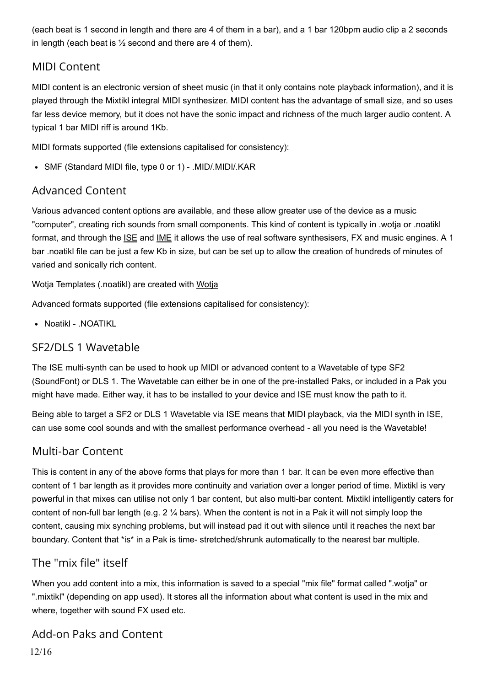(each beat is 1 second in length and there are 4 of them in a bar), and a 1 bar 120bpm audio clip a 2 seconds in length (each beat is  $\frac{1}{2}$  second and there are 4 of them).

## MIDI Content

MIDI content is an electronic version of sheet music (in that it only contains note playback information), and it is played through the Mixtikl integral MIDI synthesizer. MIDI content has the advantage of small size, and so uses far less device memory, but it does not have the sonic impact and richness of the much larger audio content. A typical 1 bar MIDI riff is around 1Kb.

MIDI formats supported (file extensions capitalised for consistency):

SMF (Standard MIDI file, type 0 or 1) - .MID/.MIDI/.KAR

# Advanced Content

Various advanced content options are available, and these allow greater use of the device as a music "computer", creating rich sounds from small components. This kind of content is typically in .wotja or .noatikl format, and through the [ISE](https://intermorphic.com/ise/20) and [IME](https://intermorphic.com/ime/20) it allows the use of real software synthesisers, FX and music engines. A 1 bar .noatikl file can be just a few Kb in size, but can be set up to allow the creation of hundreds of minutes of varied and sonically rich content.

Wotja Templates (.noatikl) are created with [Wotja](https://intermorphic.com/wotja)

Advanced formats supported (file extensions capitalised for consistency):

• Noatikl - .NOATIKL

# SF2/DLS 1 Wavetable

The ISE multi-synth can be used to hook up MIDI or advanced content to a Wavetable of type SF2 (SoundFont) or DLS 1. The Wavetable can either be in one of the pre-installed Paks, or included in a Pak you might have made. Either way, it has to be installed to your device and ISE must know the path to it.

Being able to target a SF2 or DLS 1 Wavetable via ISE means that MIDI playback, via the MIDI synth in ISE, can use some cool sounds and with the smallest performance overhead - all you need is the Wavetable!

# Multi-bar Content

This is content in any of the above forms that plays for more than 1 bar. It can be even more effective than content of 1 bar length as it provides more continuity and variation over a longer period of time. Mixtikl is very powerful in that mixes can utilise not only 1 bar content, but also multi-bar content. Mixtikl intelligently caters for content of non-full bar length (e.g.  $2\frac{1}{4}$  bars). When the content is not in a Pak it will not simply loop the content, causing mix synching problems, but will instead pad it out with silence until it reaches the next bar boundary. Content that \*is\* in a Pak is time- stretched/shrunk automatically to the nearest bar multiple.

# The "mix file" itself

When you add content into a mix, this information is saved to a special "mix file" format called ".wotja" or ".mixtikl" (depending on app used). It stores all the information about what content is used in the mix and where, together with sound FX used etc.

Add-on Paks and Content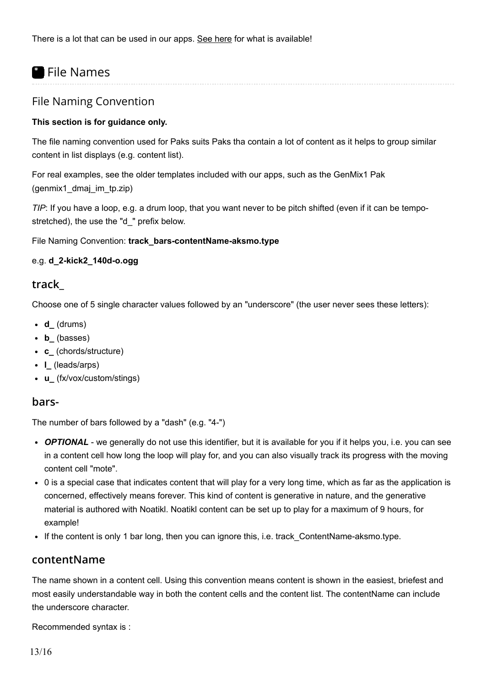# <span id="page-12-0"></span>**•** File Names

### File Naming Convention

### **This section is for guidance only.**

The file naming convention used for Paks suits Paks tha contain a lot of content as it helps to group similar content in list displays (e.g. content list).

For real examples, see the older templates included with our apps, such as the GenMix1 Pak (genmix1\_dmaj\_im\_tp.zip)

*TIP*: If you have a loop, e.g. a drum loop, that you want never to be pitch shifted (even if it can be tempostretched), the use the "d\_" prefix below.

File Naming Convention: **track\_bars-contentName-aksmo.type**

### e.g. **d\_2-kick2\_140d-o.ogg**

### **track\_**

Choose one of 5 single character values followed by an "underscore" (the user never sees these letters):

- **d\_** (drums)
- **b\_** (basses)
- **c\_** (chords/structure)
- **l\_** (leads/arps)
- **u\_** (fx/vox/custom/stings)

### **bars-**

The number of bars followed by a "dash" (e.g. "4-")

- *OPTIONAL* we generally do not use this identifier, but it is available for you if it helps you, i.e. you can see in a content cell how long the loop will play for, and you can also visually track its progress with the moving content cell "mote".
- 0 is a special case that indicates content that will play for a very long time, which as far as the application is concerned, effectively means forever. This kind of content is generative in nature, and the generative material is authored with Noatikl. Noatikl content can be set up to play for a maximum of 9 hours, for example!
- If the content is only 1 bar long, then you can ignore this, i.e. track ContentName-aksmo.type.

### **contentName**

The name shown in a content cell. Using this convention means content is shown in the easiest, briefest and most easily understandable way in both the content cells and the content list. The contentName can include the underscore character.

Recommended syntax is :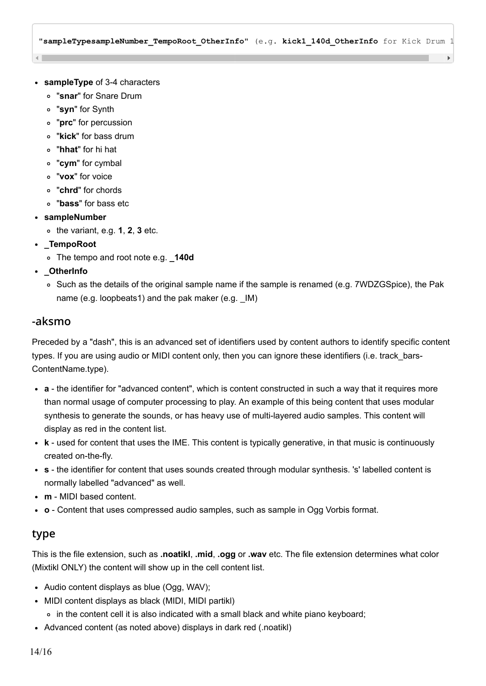"**sampleTypesampleNumber\_TempoRoot\_OtherInfo**" (e.g. **kick1\_140d\_OtherInfo** for Kick Drum 1

- **sampleType** of 3-4 characters
	- "**snar**" for Snare Drum
	- "**syn**" for Synth
	- "**prc**" for percussion
	- "**kick**" for bass drum
	- "**hhat**" for hi hat
	- "**cym**" for cymbal
	- "**vox**" for voice
	- "**chrd**" for chords
	- "**bass**" for bass etc
- **sampleNumber**
	- the variant, e.g. **1**, **2**, **3** etc.
- **\_TempoRoot**
	- The tempo and root note e.g. **\_140d**
- **\_OtherInfo**
	- o Such as the details of the original sample name if the sample is renamed (e.g. 7WDZGSpice), the Pak name (e.g. loopbeats1) and the pak maker (e.g.  $\Box$ M)

### **-aksmo**

Preceded by a "dash", this is an advanced set of identifiers used by content authors to identify specific content types. If you are using audio or MIDI content only, then you can ignore these identifiers (i.e. track bars-ContentName.type).

- **a** the identifier for "advanced content", which is content constructed in such a way that it requires more than normal usage of computer processing to play. An example of this being content that uses modular synthesis to generate the sounds, or has heavy use of multi-layered audio samples. This content will display as red in the content list.
- **k** used for content that uses the IME. This content is typically generative, in that music is continuously created on-the-fly.
- **s** the identifier for content that uses sounds created through modular synthesis. 's' labelled content is normally labelled "advanced" as well.
- **m** MIDI based content.
- **o** Content that uses compressed audio samples, such as sample in Ogg Vorbis format.

### **type**

This is the file extension, such as **.noatikl**, **.mid**, **.ogg** or **.wav** etc. The file extension determines what color (Mixtikl ONLY) the content will show up in the cell content list.

- Audio content displays as blue (Ogg, WAV);
- MIDI content displays as black (MIDI, MIDI partikl)
	- in the content cell it is also indicated with a small black and white piano keyboard;
- Advanced content (as noted above) displays in dark red (.noatikl)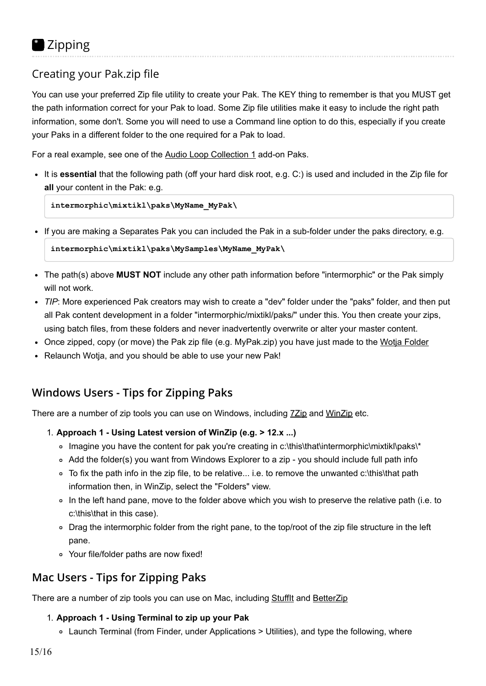# <span id="page-14-0"></span>Creating your Pak.zip file

You can use your preferred Zip file utility to create your Pak. The KEY thing to remember is that you MUST get the path information correct for your Pak to load. Some Zip file utilities make it easy to include the right path information, some don't. Some you will need to use a Command line option to do this, especially if you create your Paks in a different folder to the one required for a Pak to load.

For a real example, see one of the [Audio Loop Collection 1](https://intermorphic.com/content/#paks) add-on Paks.

It is **essential** that the following path (off your hard disk root, e.g. C:) is used and included in the Zip file for **all** your content in the Pak: e.g.

**intermorphic\mixtikl\paks\MyName\_MyPak\**

```
If you are making a Separates Pak you can included the Pak in a sub-folder under the paks directory, e.g.
```

```
intermorphic\mixtikl\paks\MySamples\MyName_MyPak\
```
- The path(s) above **MUST NOT** include any other path information before "intermorphic" or the Pak simply will not work.
- *TIP*: More experienced Pak creators may wish to create a "dev" folder under the "paks" folder, and then put all Pak content development in a folder "intermorphic/mixtikl/paks/" under this. You then create your zips, using batch files, from these folders and never inadvertently overwrite or alter your master content.
- Once zipped, copy (or move) the Pak zip file (e.g. MyPak.zip) you have just made to the Wotia Folder
- Relaunch Wotja, and you should be able to use your new Pak!

## **Windows Users - Tips for Zipping Paks**

There are a number of zip tools you can use on Windows, including **[7Zip](http://www.7-zip.org/)** and [WinZip](http://www.winzip.com/) etc.

- 1. **Approach 1 Using Latest version of WinZip (e.g. > 12.x ...)**
	- Imagine you have the content for pak you're creating in c:\this\that\intermorphic\mixtikl\paks\\*
	- Add the folder(s) you want from Windows Explorer to a zip you should include full path info
	- To fix the path info in the zip file, to be relative... i.e. to remove the unwanted c:\this\that path information then, in WinZip, select the "Folders" view.
	- In the left hand pane, move to the folder above which you wish to preserve the relative path (i.e. to c:\this\that in this case).
	- Drag the intermorphic folder from the right pane, to the top/root of the zip file structure in the left pane.
	- Your file/folder paths are now fixed!

## **Mac Users - Tips for Zipping Paks**

There are a number of zip tools you can use on Mac, including Stuffit and [BetterZip](http://macitbetter.com/)

### 1. **Approach 1 - Using Terminal to zip up your Pak**

Launch Terminal (from Finder, under Applications > Utilities), and type the following, where